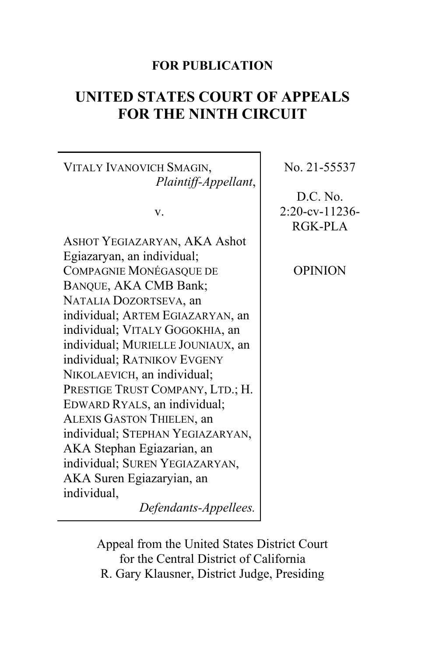# **FOR PUBLICATION**

# **UNITED STATES COURT OF APPEALS FOR THE NINTH CIRCUIT**

VITALY IVANOVICH SMAGIN, *Plaintiff-Appellant*,

v.

ASHOT YEGIAZARYAN, AKA Ashot Egiazaryan, an individual; COMPAGNIE MONÉGASQUE DE BANQUE, AKA CMB Bank; NATALIA DOZORTSEVA, an individual; ARTEM EGIAZARYAN, an individual; VITALY GOGOKHIA, an individual; MURIELLE JOUNIAUX, an individual; RATNIKOV EVGENY NIKOLAEVICH, an individual; PRESTIGE TRUST COMPANY, LTD.; H. EDWARD RYALS, an individual; ALEXIS GASTON THIELEN, an individual; STEPHAN YEGIAZARYAN, AKA Stephan Egiazarian, an individual; SUREN YEGIAZARYAN, AKA Suren Egiazaryian, an individual,

*Defendants-Appellees.*

No. 21-55537

D.C. No. 2:20-cv-11236- RGK-PLA

OPINION

Appeal from the United States District Court for the Central District of California R. Gary Klausner, District Judge, Presiding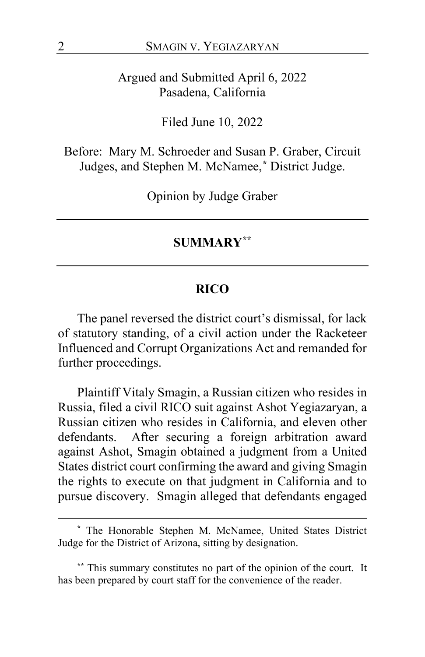Argued and Submitted April 6, 2022 Pasadena, California

Filed June 10, 2022

Before: Mary M. Schroeder and Susan P. Graber, Circuit Judges, and Stephen M. McNamee,**[\\*](#page-1-0)** District Judge.

Opinion by Judge Graber

#### **SUMMARY[\\*\\*](#page-1-1)**

### **RICO**

The panel reversed the district court's dismissal, for lack of statutory standing, of a civil action under the Racketeer Influenced and Corrupt Organizations Act and remanded for further proceedings.

Plaintiff Vitaly Smagin, a Russian citizen who resides in Russia, filed a civil RICO suit against Ashot Yegiazaryan, a Russian citizen who resides in California, and eleven other defendants. After securing a foreign arbitration award against Ashot, Smagin obtained a judgment from a United States district court confirming the award and giving Smagin the rights to execute on that judgment in California and to pursue discovery. Smagin alleged that defendants engaged

<span id="page-1-0"></span>**<sup>\*</sup>** The Honorable Stephen M. McNamee, United States District Judge for the District of Arizona, sitting by designation.

<span id="page-1-1"></span>**<sup>\*\*</sup>** This summary constitutes no part of the opinion of the court. It has been prepared by court staff for the convenience of the reader.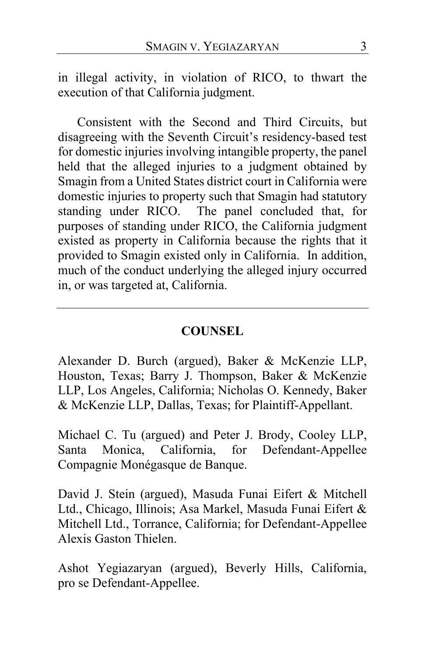in illegal activity, in violation of RICO, to thwart the execution of that California judgment.

Consistent with the Second and Third Circuits, but disagreeing with the Seventh Circuit's residency-based test for domestic injuries involving intangible property, the panel held that the alleged injuries to a judgment obtained by Smagin from a United States district court in California were domestic injuries to property such that Smagin had statutory standing under RICO. The panel concluded that, for purposes of standing under RICO, the California judgment existed as property in California because the rights that it provided to Smagin existed only in California. In addition, much of the conduct underlying the alleged injury occurred in, or was targeted at, California.

# **COUNSEL**

Alexander D. Burch (argued), Baker & McKenzie LLP, Houston, Texas; Barry J. Thompson, Baker & McKenzie LLP, Los Angeles, California; Nicholas O. Kennedy, Baker & McKenzie LLP, Dallas, Texas; for Plaintiff-Appellant.

Michael C. Tu (argued) and Peter J. Brody, Cooley LLP, Santa Monica, California, for Defendant-Appellee Compagnie Monégasque de Banque.

David J. Stein (argued), Masuda Funai Eifert & Mitchell Ltd., Chicago, Illinois; Asa Markel, Masuda Funai Eifert & Mitchell Ltd., Torrance, California; for Defendant-Appellee Alexis Gaston Thielen.

Ashot Yegiazaryan (argued), Beverly Hills, California, pro se Defendant-Appellee.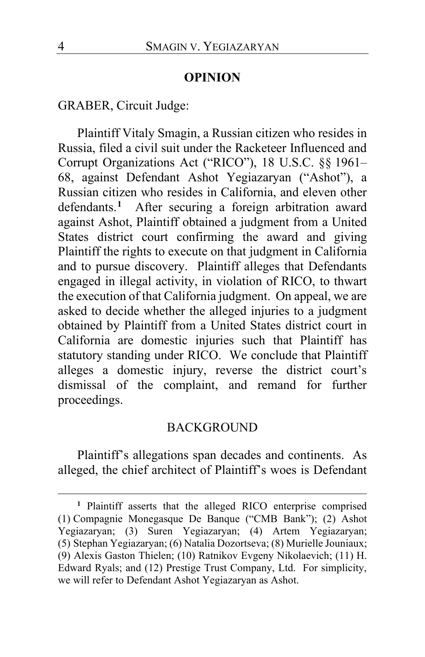#### **OPINION**

GRABER, Circuit Judge:

Plaintiff Vitaly Smagin, a Russian citizen who resides in Russia, filed a civil suit under the Racketeer Influenced and Corrupt Organizations Act ("RICO"), 18 U.S.C. §§ 1961– 68, against Defendant Ashot Yegiazaryan ("Ashot"), a Russian citizen who resides in California, and eleven other defendants.**[1](#page-3-0)** After securing a foreign arbitration award against Ashot, Plaintiff obtained a judgment from a United States district court confirming the award and giving Plaintiff the rights to execute on that judgment in California and to pursue discovery. Plaintiff alleges that Defendants engaged in illegal activity, in violation of RICO, to thwart the execution of that California judgment. On appeal, we are asked to decide whether the alleged injuries to a judgment obtained by Plaintiff from a United States district court in California are domestic injuries such that Plaintiff has statutory standing under RICO. We conclude that Plaintiff alleges a domestic injury, reverse the district court's dismissal of the complaint, and remand for further proceedings.

# BACKGROUND

Plaintiff's allegations span decades and continents. As alleged, the chief architect of Plaintiff's woes is Defendant

<span id="page-3-0"></span>**<sup>1</sup>** Plaintiff asserts that the alleged RICO enterprise comprised (1) Compagnie Monegasque De Banque ("CMB Bank"); (2) Ashot Yegiazaryan; (3) Suren Yegiazaryan; (4) Artem Yegiazaryan; (5) Stephan Yegiazaryan; (6) Natalia Dozortseva; (8) Murielle Jouniaux; (9) Alexis Gaston Thielen; (10) Ratnikov Evgeny Nikolaevich; (11) H. Edward Ryals; and (12) Prestige Trust Company, Ltd. For simplicity, we will refer to Defendant Ashot Yegiazaryan as Ashot.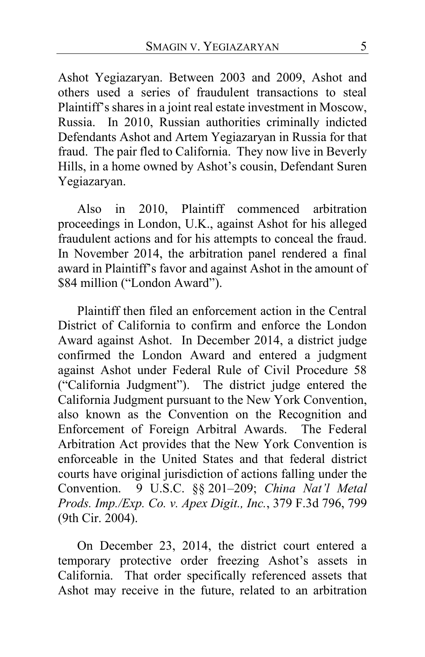Ashot Yegiazaryan. Between 2003 and 2009, Ashot and others used a series of fraudulent transactions to steal Plaintiff's shares in a joint real estate investment in Moscow, Russia. In 2010, Russian authorities criminally indicted Defendants Ashot and Artem Yegiazaryan in Russia for that fraud. The pair fled to California. They now live in Beverly Hills, in a home owned by Ashot's cousin, Defendant Suren Yegiazaryan.

Also in 2010, Plaintiff commenced arbitration proceedings in London, U.K., against Ashot for his alleged fraudulent actions and for his attempts to conceal the fraud. In November 2014, the arbitration panel rendered a final award in Plaintiff's favor and against Ashot in the amount of \$84 million ("London Award").

Plaintiff then filed an enforcement action in the Central District of California to confirm and enforce the London Award against Ashot. In December 2014, a district judge confirmed the London Award and entered a judgment against Ashot under Federal Rule of Civil Procedure 58 ("California Judgment"). The district judge entered the California Judgment pursuant to the New York Convention, also known as the Convention on the Recognition and Enforcement of Foreign Arbitral Awards. The Federal Arbitration Act provides that the New York Convention is enforceable in the United States and that federal district courts have original jurisdiction of actions falling under the Convention. 9 U.S.C. §§ 201–209; *China Nat'l Metal Prods. Imp./Exp. Co. v. Apex Digit., Inc.*, 379 F.3d 796, 799 (9th Cir. 2004).

On December 23, 2014, the district court entered a temporary protective order freezing Ashot's assets in California. That order specifically referenced assets that Ashot may receive in the future, related to an arbitration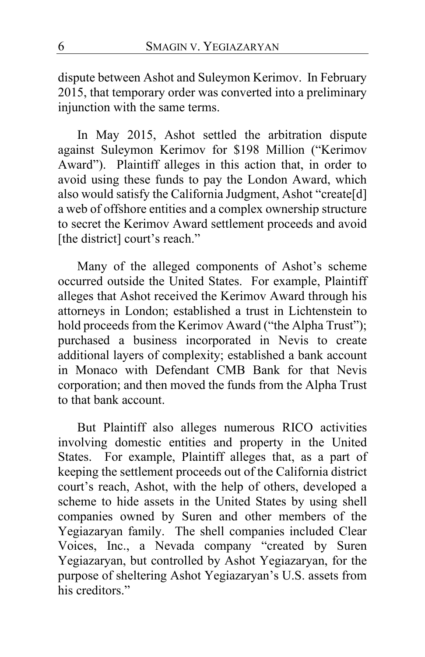dispute between Ashot and Suleymon Kerimov. In February 2015, that temporary order was converted into a preliminary injunction with the same terms.

In May 2015, Ashot settled the arbitration dispute against Suleymon Kerimov for \$198 Million ("Kerimov Award"). Plaintiff alleges in this action that, in order to avoid using these funds to pay the London Award, which also would satisfy the California Judgment, Ashot "create[d] a web of offshore entities and a complex ownership structure to secret the Kerimov Award settlement proceeds and avoid [the district] court's reach."

Many of the alleged components of Ashot's scheme occurred outside the United States. For example, Plaintiff alleges that Ashot received the Kerimov Award through his attorneys in London; established a trust in Lichtenstein to hold proceeds from the Kerimov Award ("the Alpha Trust"); purchased a business incorporated in Nevis to create additional layers of complexity; established a bank account in Monaco with Defendant CMB Bank for that Nevis corporation; and then moved the funds from the Alpha Trust to that bank account.

But Plaintiff also alleges numerous RICO activities involving domestic entities and property in the United States. For example, Plaintiff alleges that, as a part of keeping the settlement proceeds out of the California district court's reach, Ashot, with the help of others, developed a scheme to hide assets in the United States by using shell companies owned by Suren and other members of the Yegiazaryan family. The shell companies included Clear Voices, Inc., a Nevada company "created by Suren Yegiazaryan, but controlled by Ashot Yegiazaryan, for the purpose of sheltering Ashot Yegiazaryan's U.S. assets from his creditors."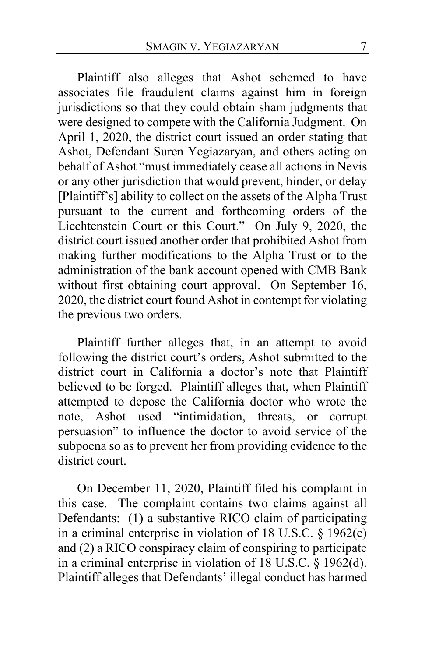Plaintiff also alleges that Ashot schemed to have associates file fraudulent claims against him in foreign jurisdictions so that they could obtain sham judgments that were designed to compete with the California Judgment. On April 1, 2020, the district court issued an order stating that Ashot, Defendant Suren Yegiazaryan, and others acting on behalf of Ashot "must immediately cease all actions in Nevis or any other jurisdiction that would prevent, hinder, or delay [Plaintiff's] ability to collect on the assets of the Alpha Trust pursuant to the current and forthcoming orders of the Liechtenstein Court or this Court." On July 9, 2020, the district court issued another order that prohibited Ashot from making further modifications to the Alpha Trust or to the administration of the bank account opened with CMB Bank without first obtaining court approval. On September 16, 2020, the district court found Ashot in contempt for violating the previous two orders.

Plaintiff further alleges that, in an attempt to avoid following the district court's orders, Ashot submitted to the district court in California a doctor's note that Plaintiff believed to be forged. Plaintiff alleges that, when Plaintiff attempted to depose the California doctor who wrote the note, Ashot used "intimidation, threats, or corrupt persuasion" to influence the doctor to avoid service of the subpoena so as to prevent her from providing evidence to the district court.

On December 11, 2020, Plaintiff filed his complaint in this case.The complaint contains two claims against all Defendants: (1) a substantive RICO claim of participating in a criminal enterprise in violation of 18 U.S.C. § 1962(c) and (2) a RICO conspiracy claim of conspiring to participate in a criminal enterprise in violation of 18 U.S.C. § 1962(d). Plaintiff alleges that Defendants' illegal conduct has harmed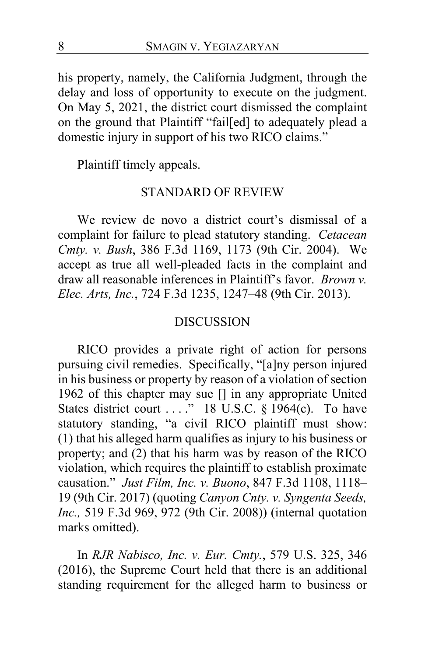his property, namely, the California Judgment, through the delay and loss of opportunity to execute on the judgment. On May 5, 2021, the district court dismissed the complaint on the ground that Plaintiff "fail[ed] to adequately plead a domestic injury in support of his two RICO claims."

Plaintiff timely appeals.

# STANDARD OF REVIEW

We review de novo a district court's dismissal of a complaint for failure to plead statutory standing. *Cetacean Cmty. v. Bush*, 386 F.3d 1169, 1173 (9th Cir. 2004). We accept as true all well-pleaded facts in the complaint and draw all reasonable inferences in Plaintiff's favor. *Brown v. Elec. Arts, Inc.*, 724 F.3d 1235, 1247–48 (9th Cir. 2013).

#### DISCUSSION

RICO provides a private right of action for persons pursuing civil remedies. Specifically, "[a]ny person injured in his business or property by reason of a violation of section 1962 of this chapter may sue [] in any appropriate United States district court . . . ." 18 U.S.C. § 1964(c). To have statutory standing, "a civil RICO plaintiff must show: (1) that his alleged harm qualifies as injury to his business or property; and (2) that his harm was by reason of the RICO violation, which requires the plaintiff to establish proximate causation." *Just Film, Inc. v. Buono*, 847 F.3d 1108, 1118– 19 (9th Cir. 2017) (quoting *Canyon Cnty. v. Syngenta Seeds, Inc.,* 519 F.3d 969, 972 (9th Cir. 2008)) (internal quotation marks omitted).

In *RJR Nabisco, Inc. v. Eur. Cmty.*, 579 U.S. 325, 346 (2016), the Supreme Court held that there is an additional standing requirement for the alleged harm to business or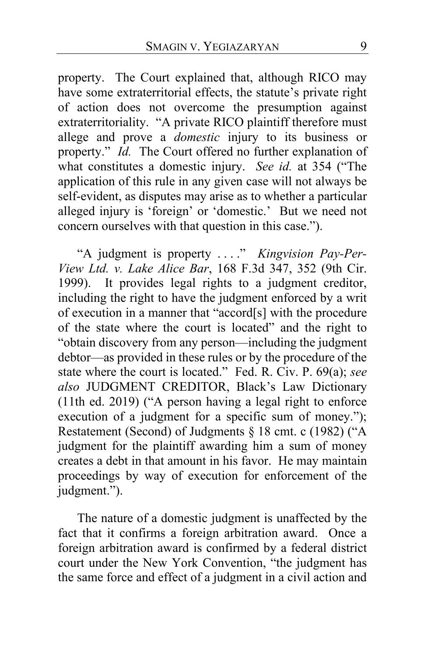property. The Court explained that, although RICO may have some extraterritorial effects, the statute's private right of action does not overcome the presumption against extraterritoriality. "A private RICO plaintiff therefore must allege and prove a *domestic* injury to its business or property." *Id.* The Court offered no further explanation of what constitutes a domestic injury. *See id.* at 354 ("The application of this rule in any given case will not always be self-evident, as disputes may arise as to whether a particular alleged injury is 'foreign' or 'domestic.' But we need not concern ourselves with that question in this case.").

"A judgment is property . . . ." *Kingvision Pay-Per-View Ltd. v. Lake Alice Bar*, 168 F.3d 347, 352 (9th Cir. It provides legal rights to a judgment creditor, including the right to have the judgment enforced by a writ of execution in a manner that "accord[s] with the procedure of the state where the court is located" and the right to "obtain discovery from any person—including the judgment debtor—as provided in these rules or by the procedure of the state where the court is located." Fed. R. Civ. P. 69(a); *see also* JUDGMENT CREDITOR, Black's Law Dictionary (11th ed. 2019) ("A person having a legal right to enforce execution of a judgment for a specific sum of money."); Restatement (Second) of Judgments § 18 cmt. c (1982) ("A judgment for the plaintiff awarding him a sum of money creates a debt in that amount in his favor. He may maintain proceedings by way of execution for enforcement of the judgment.").

The nature of a domestic judgment is unaffected by the fact that it confirms a foreign arbitration award. Once a foreign arbitration award is confirmed by a federal district court under the New York Convention, "the judgment has the same force and effect of a judgment in a civil action and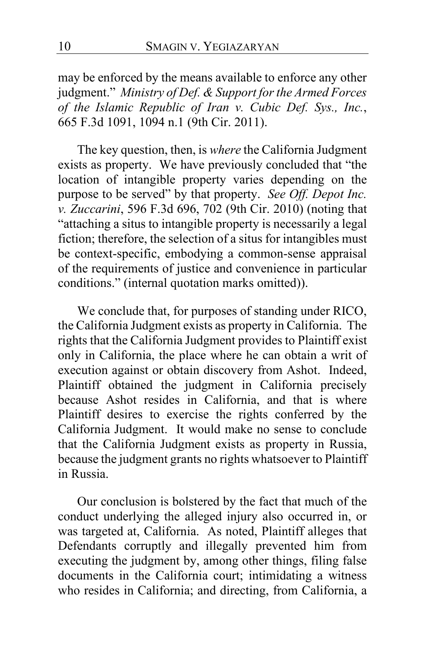may be enforced by the means available to enforce any other judgment." *Ministry of Def. & Support for the Armed Forces of the Islamic Republic of Iran v. Cubic Def. Sys., Inc.*, 665 F.3d 1091, 1094 n.1 (9th Cir. 2011).

The key question, then, is *where* the California Judgment exists as property. We have previously concluded that "the location of intangible property varies depending on the purpose to be served" by that property. *See Off. Depot Inc. v. Zuccarini*, 596 F.3d 696, 702 (9th Cir. 2010) (noting that "attaching a situs to intangible property is necessarily a legal fiction; therefore, the selection of a situs for intangibles must be context-specific, embodying a common-sense appraisal of the requirements of justice and convenience in particular conditions." (internal quotation marks omitted)).

We conclude that, for purposes of standing under RICO, the California Judgment exists as property in California. The rights that the California Judgment provides to Plaintiff exist only in California, the place where he can obtain a writ of execution against or obtain discovery from Ashot. Indeed, Plaintiff obtained the judgment in California precisely because Ashot resides in California, and that is where Plaintiff desires to exercise the rights conferred by the California Judgment. It would make no sense to conclude that the California Judgment exists as property in Russia, because the judgment grants no rights whatsoever to Plaintiff in Russia.

Our conclusion is bolstered by the fact that much of the conduct underlying the alleged injury also occurred in, or was targeted at, California. As noted, Plaintiff alleges that Defendants corruptly and illegally prevented him from executing the judgment by, among other things, filing false documents in the California court; intimidating a witness who resides in California; and directing, from California, a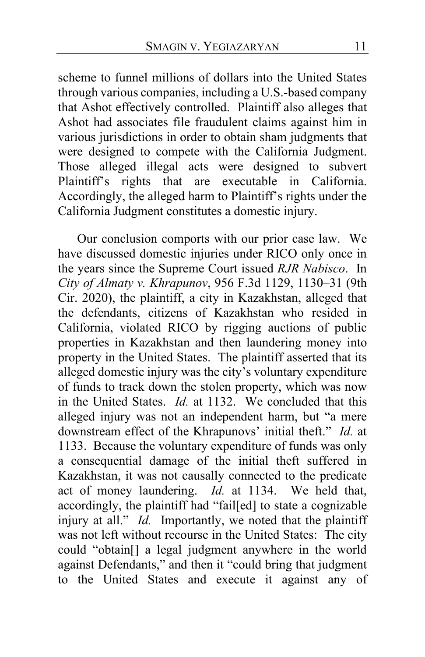scheme to funnel millions of dollars into the United States through various companies, including a U.S.-based company that Ashot effectively controlled. Plaintiff also alleges that Ashot had associates file fraudulent claims against him in various jurisdictions in order to obtain sham judgments that were designed to compete with the California Judgment. Those alleged illegal acts were designed to subvert Plaintiff's rights that are executable in California. Accordingly, the alleged harm to Plaintiff's rights under the California Judgment constitutes a domestic injury.

Our conclusion comports with our prior case law. We have discussed domestic injuries under RICO only once in the years since the Supreme Court issued *RJR Nabisco*. In *City of Almaty v. Khrapunov*, 956 F.3d 1129, 1130–31 (9th Cir. 2020), the plaintiff, a city in Kazakhstan, alleged that the defendants, citizens of Kazakhstan who resided in California, violated RICO by rigging auctions of public properties in Kazakhstan and then laundering money into property in the United States. The plaintiff asserted that its alleged domestic injury was the city's voluntary expenditure of funds to track down the stolen property, which was now in the United States. *Id.* at 1132. We concluded that this alleged injury was not an independent harm, but "a mere downstream effect of the Khrapunovs' initial theft." *Id.* at 1133. Because the voluntary expenditure of funds was only a consequential damage of the initial theft suffered in Kazakhstan, it was not causally connected to the predicate act of money laundering. *Id.* at 1134. We held that, accordingly, the plaintiff had "fail[ed] to state a cognizable injury at all." *Id.* Importantly, we noted that the plaintiff was not left without recourse in the United States: The city could "obtain[] a legal judgment anywhere in the world against Defendants," and then it "could bring that judgment to the United States and execute it against any of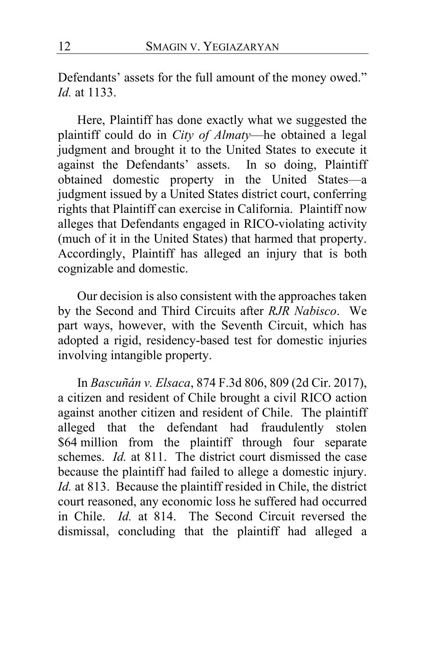Defendants' assets for the full amount of the money owed." *Id.* at 1133.

Here, Plaintiff has done exactly what we suggested the plaintiff could do in *City of Almaty*—he obtained a legal judgment and brought it to the United States to execute it against the Defendants' assets. In so doing, Plaintiff obtained domestic property in the United States—a judgment issued by a United States district court, conferring rights that Plaintiff can exercise in California. Plaintiff now alleges that Defendants engaged in RICO-violating activity (much of it in the United States) that harmed that property. Accordingly, Plaintiff has alleged an injury that is both cognizable and domestic.

Our decision is also consistent with the approaches taken by the Second and Third Circuits after *RJR Nabisco*. We part ways, however, with the Seventh Circuit, which has adopted a rigid, residency-based test for domestic injuries involving intangible property.

In *Bascuñán v. Elsaca*, 874 F.3d 806, 809 (2d Cir. 2017), a citizen and resident of Chile brought a civil RICO action against another citizen and resident of Chile. The plaintiff alleged that the defendant had fraudulently stolen \$64 million from the plaintiff through four separate schemes. *Id.* at 811. The district court dismissed the case because the plaintiff had failed to allege a domestic injury. *Id.* at 813. Because the plaintiff resided in Chile, the district court reasoned, any economic loss he suffered had occurred in Chile. *Id.* at 814. The Second Circuit reversed the dismissal, concluding that the plaintiff had alleged a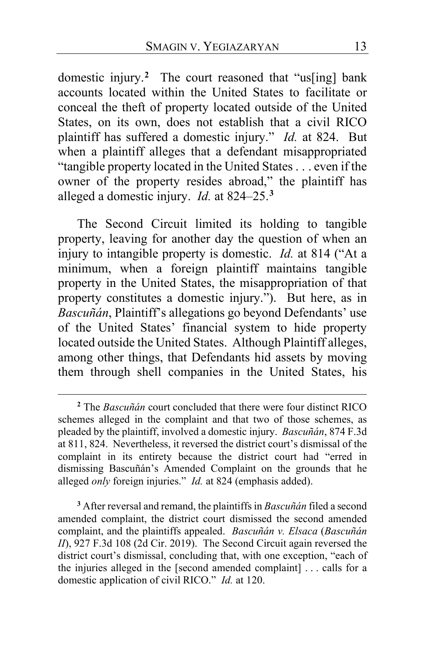domestic injury.**[2](#page-12-0)** The court reasoned that "us[ing] bank accounts located within the United States to facilitate or conceal the theft of property located outside of the United States, on its own, does not establish that a civil RICO plaintiff has suffered a domestic injury." *Id.* at 824. But when a plaintiff alleges that a defendant misappropriated "tangible property located in the United States . . . even if the owner of the property resides abroad," the plaintiff has alleged a domestic injury. *Id.* at 824–25.**[3](#page-12-1)**

The Second Circuit limited its holding to tangible property, leaving for another day the question of when an injury to intangible property is domestic. *Id.* at 814 ("At a minimum, when a foreign plaintiff maintains tangible property in the United States, the misappropriation of that property constitutes a domestic injury."). But here, as in *Bascuñán*, Plaintiff's allegations go beyond Defendants' use of the United States' financial system to hide property located outside the United States. Although Plaintiff alleges, among other things, that Defendants hid assets by moving them through shell companies in the United States, his

<span id="page-12-1"></span>**<sup>3</sup>** After reversal and remand, the plaintiffs in *Bascuñán* filed a second amended complaint, the district court dismissed the second amended complaint, and the plaintiffs appealed. *Bascuñán v. Elsaca* (*Bascuñán II*), 927 F.3d 108 (2d Cir. 2019). The Second Circuit again reversed the district court's dismissal, concluding that, with one exception, "each of the injuries alleged in the [second amended complaint] . . . calls for a domestic application of civil RICO." *Id.* at 120.

<span id="page-12-0"></span>**<sup>2</sup>** The *Bascuñán* court concluded that there were four distinct RICO schemes alleged in the complaint and that two of those schemes, as pleaded by the plaintiff, involved a domestic injury. *Bascuñán*, 874 F.3d at 811, 824. Nevertheless, it reversed the district court's dismissal of the complaint in its entirety because the district court had "erred in dismissing Bascuñán's Amended Complaint on the grounds that he alleged *only* foreign injuries." *Id.* at 824 (emphasis added).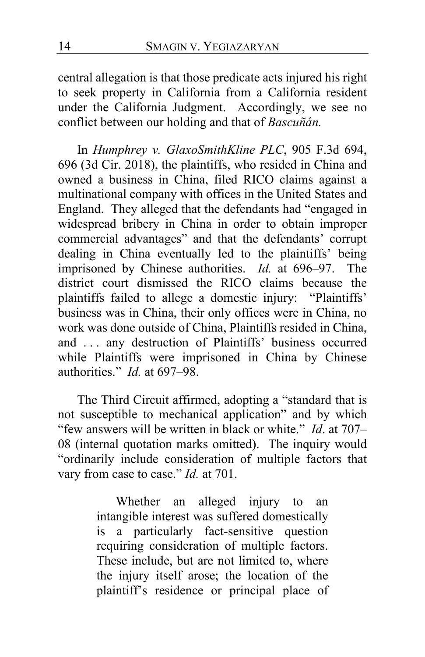central allegation is that those predicate acts injured his right to seek property in California from a California resident under the California Judgment. Accordingly, we see no conflict between our holding and that of *Bascuñán.*

In *Humphrey v. GlaxoSmithKline PLC*, 905 F.3d 694, 696 (3d Cir. 2018), the plaintiffs, who resided in China and owned a business in China, filed RICO claims against a multinational company with offices in the United States and England. They alleged that the defendants had "engaged in widespread bribery in China in order to obtain improper commercial advantages" and that the defendants' corrupt dealing in China eventually led to the plaintiffs' being imprisoned by Chinese authorities. *Id.* at 696–97. The district court dismissed the RICO claims because the plaintiffs failed to allege a domestic injury: "Plaintiffs' business was in China, their only offices were in China, no work was done outside of China, Plaintiffs resided in China, and ... any destruction of Plaintiffs' business occurred while Plaintiffs were imprisoned in China by Chinese authorities." *Id.* at 697–98.

The Third Circuit affirmed, adopting a "standard that is not susceptible to mechanical application" and by which "few answers will be written in black or white." *Id*. at 707– 08 (internal quotation marks omitted). The inquiry would "ordinarily include consideration of multiple factors that vary from case to case." *Id.* at 701.

> Whether an alleged injury to an intangible interest was suffered domestically is a particularly fact-sensitive question requiring consideration of multiple factors. These include, but are not limited to, where the injury itself arose; the location of the plaintiff's residence or principal place of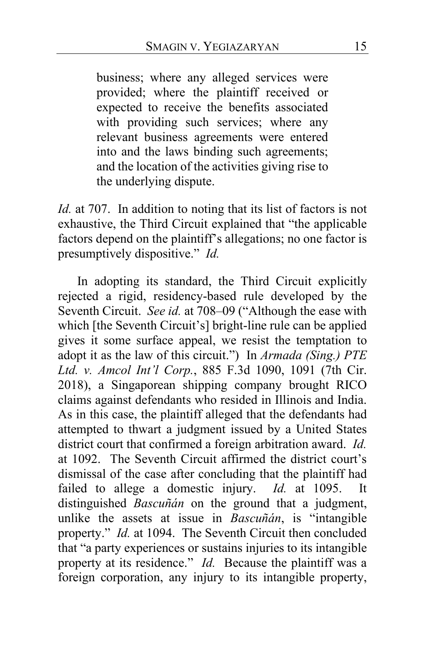business; where any alleged services were provided; where the plaintiff received or expected to receive the benefits associated with providing such services; where any relevant business agreements were entered into and the laws binding such agreements; and the location of the activities giving rise to the underlying dispute.

*Id.* at 707. In addition to noting that its list of factors is not exhaustive, the Third Circuit explained that "the applicable factors depend on the plaintiff's allegations; no one factor is presumptively dispositive." *Id.*

In adopting its standard, the Third Circuit explicitly rejected a rigid, residency-based rule developed by the Seventh Circuit. *See id.* at 708–09 ("Although the ease with which [the Seventh Circuit's] bright-line rule can be applied gives it some surface appeal, we resist the temptation to adopt it as the law of this circuit.") In *Armada (Sing.) PTE Ltd. v. Amcol Int'l Corp.*, 885 F.3d 1090, 1091 (7th Cir. 2018), a Singaporean shipping company brought RICO claims against defendants who resided in Illinois and India. As in this case, the plaintiff alleged that the defendants had attempted to thwart a judgment issued by a United States district court that confirmed a foreign arbitration award. *Id.* at 1092. The Seventh Circuit affirmed the district court's dismissal of the case after concluding that the plaintiff had failed to allege a domestic injury. *Id.* at 1095. It distinguished *Bascuñán* on the ground that a judgment, unlike the assets at issue in *Bascuñán*, is "intangible property." *Id.* at 1094. The Seventh Circuit then concluded that "a party experiences or sustains injuries to its intangible property at its residence." *Id.* Because the plaintiff was a foreign corporation, any injury to its intangible property,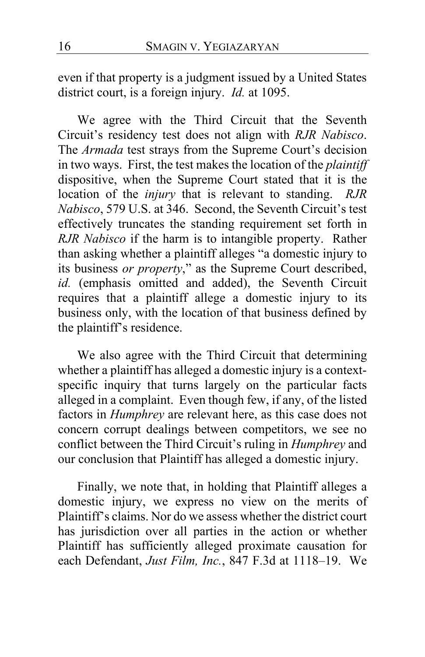even if that property is a judgment issued by a United States district court, is a foreign injury. *Id.* at 1095.

We agree with the Third Circuit that the Seventh Circuit's residency test does not align with *RJR Nabisco*. The *Armada* test strays from the Supreme Court's decision in two ways. First, the test makes the location of the *plaintiff* dispositive, when the Supreme Court stated that it is the location of the *injury* that is relevant to standing. *RJR Nabisco*, 579 U.S. at 346. Second, the Seventh Circuit's test effectively truncates the standing requirement set forth in *RJR Nabisco* if the harm is to intangible property. Rather than asking whether a plaintiff alleges "a domestic injury to its business *or property*," as the Supreme Court described, *id.* (emphasis omitted and added), the Seventh Circuit requires that a plaintiff allege a domestic injury to its business only, with the location of that business defined by the plaintiff's residence.

We also agree with the Third Circuit that determining whether a plaintiff has alleged a domestic injury is a contextspecific inquiry that turns largely on the particular facts alleged in a complaint. Even though few, if any, of the listed factors in *Humphrey* are relevant here, as this case does not concern corrupt dealings between competitors, we see no conflict between the Third Circuit's ruling in *Humphrey* and our conclusion that Plaintiff has alleged a domestic injury.

Finally, we note that, in holding that Plaintiff alleges a domestic injury, we express no view on the merits of Plaintiff's claims. Nor do we assess whether the district court has jurisdiction over all parties in the action or whether Plaintiff has sufficiently alleged proximate causation for each Defendant, *Just Film, Inc.*, 847 F.3d at 1118–19. We